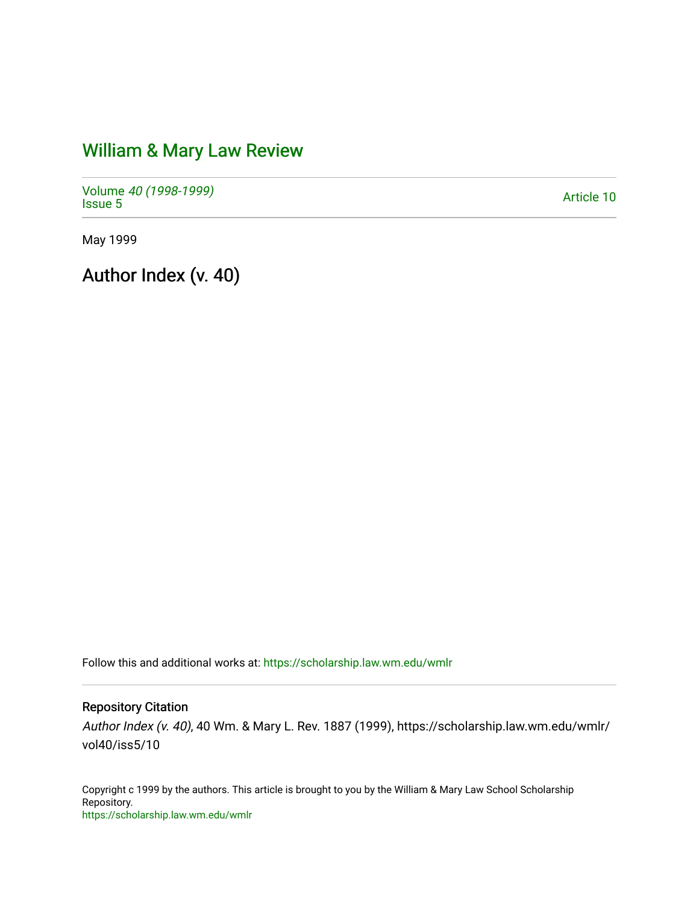# [William & Mary Law Review](https://scholarship.law.wm.edu/wmlr)

Volume [40 \(1998-1999\)](https://scholarship.law.wm.edu/wmlr/vol40)  volume 40 (1990-1999)<br>[Issue 5](https://scholarship.law.wm.edu/wmlr/vol40/iss5) Article 10

May 1999

Author Index (v. 40)

Follow this and additional works at: [https://scholarship.law.wm.edu/wmlr](https://scholarship.law.wm.edu/wmlr?utm_source=scholarship.law.wm.edu%2Fwmlr%2Fvol40%2Fiss5%2F10&utm_medium=PDF&utm_campaign=PDFCoverPages)

Repository Citation

Author Index (v. 40), 40 Wm. & Mary L. Rev. 1887 (1999), https://scholarship.law.wm.edu/wmlr/ vol40/iss5/10

Copyright c 1999 by the authors. This article is brought to you by the William & Mary Law School Scholarship Repository. <https://scholarship.law.wm.edu/wmlr>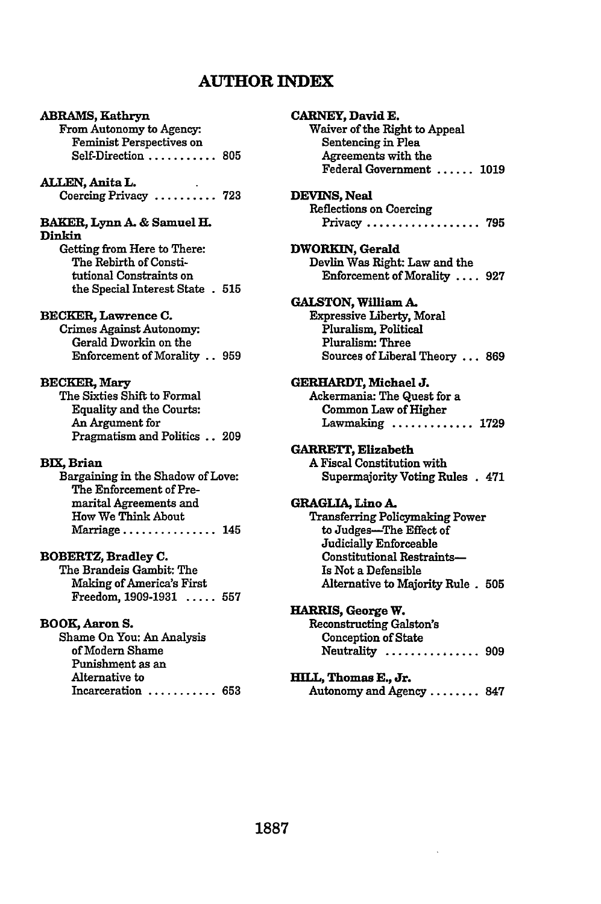# **AUTHOR INDEX**

# ABRAMS, Kathryn From Autonomy to Agency-Feminist Perspectives on Self-Direction **........... 805 ALLEN, Anita L.** Coercing Privacy **.......... 723 BAKER, Lynn A. &** Samuel **H. Dinkin** Getting from Here to There: The Rebirth of Constitutional Constraints on the Special Interest State **. 515** BECKER, Lawrence **C.** Crimes Against Autonomy-Gerald Dworkin on the Enforcement of Morality.. **959** BECKER, Mary The Sixties Shift to Formal Equality and the Courts: An Argument for Pragmatism and Politics.. **209 BX, Brian** Bargaining in the Shadow of Love:

The Enforcement of Premarital Agreements and How We Think About Marriage **...............** 145

#### **BOBERTZ,** Bradley **C.** The Brandeis Gambit: The Making of America's First Freedom, **1909-1931 ..... 557**

### **BOOK, Aaron S.** Shame On You: An Analysis of Modem Shame Punishment as an Alternative to Incarceration **........... 653**

**CARNEY, David E.** Waiver of the Right to Appeal Sentencing in Plea Agreements with the Federal Government **...... 1019 DEVINS, Neal** Reflections on Coercing Privacy **.................. 795 DWORKIN, Gerald** Devlin Was Right: Law and the Enforcement of Morality **.... 927** GALSTON, William A. Expressive Liberty, Moral Pluralism, Political Pluralism: Three Sources of Liberal Theory **... 869 GERHARDT, Michael J.** Ackermania: The Quest for a Common Law of Higher Lawmaking **............. 1729 GARRETT, Elizabeth A** Fiscal Constitution with Supermajority Voting Rules **.** 471 **GRAGLIA, Lino A.** Transferring Policymaking Power to Judges-The Effect of Judicially Enforceable Constitutional Restraints-Is Not a Defensible Alternative to Majority Rule **. 505 HARRIS, George** W. Reconstructing **Galston's** Conception of State Neutrality **............... 909 HILL, Thomas E., Jr.** Autonomy and Agency **........ 847**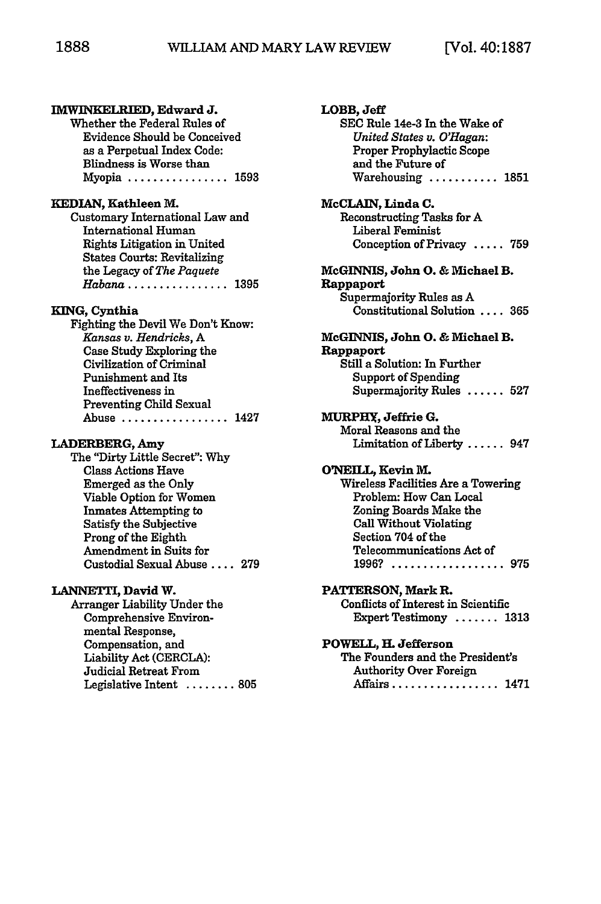**LOBB, Jeff**

**McCLAIN, Linda C.**

**SEC** Rule 14e-3 In the Wake of *United States v. O'Hagan:* Proper Prophylactic Scope and the Future of

Reconstructing Tasks for **A** Liberal Feminist

Warehousing ........... **1851**

Conception of Privacy **..... 759**

| IMWINKELRIED, Edward J.                            |
|----------------------------------------------------|
| Whether the Federal Rules of                       |
| <b>Evidence Should be Conceived</b>                |
| as a Perpetual Index Code:                         |
| Blindness is Worse than                            |
| Myopia  1593                                       |
|                                                    |
| KEDIAN, Kathleen M.                                |
| Customary International Law and                    |
| <b>International Human</b>                         |
| <b>Rights Litigation in United</b>                 |
| <b>States Courts: Revitalizing</b>                 |
| the Legacy of The Paquete                          |
| Habana 1395                                        |
|                                                    |
| KING, Cynthia                                      |
| Fighting the Devil We Don't Know:                  |
| Kansas v. Hendricks, A                             |
| Case Study Exploring the                           |
| <b>Civilization of Criminal</b>                    |
| Punishment and Its                                 |
| Ineffectiveness in                                 |
| <b>Preventing Child Sexual</b>                     |
| $\ldots$ 1427<br>Abuse                             |
| LADERBERG, Amy                                     |
| The "Dirty Little Secret": Why                     |
| <b>Class Actions Have</b>                          |
| <b>Emerged as the Only</b>                         |
| Viable Option for Women                            |
| <b>Inmates Attempting to</b>                       |
| Satisfy the Subjective                             |
| Prong of the Eighth                                |
| Amendment in Suits for                             |
| Custodial Sexual Abuse  279                        |
|                                                    |
| LANNETTI, David W.<br>Arranger Liability Under the |
| Comprehensive Environ-                             |
| mental Response,                                   |
|                                                    |
| Compensation, and<br>Liability Act (CERCLA):       |
|                                                    |

Judicial Retreat From

Legislative Intent ........ **805**

| McGINNIS, John O. & Michael B.      |
|-------------------------------------|
| Rappaport                           |
| Supermajority Rules as A            |
| Constitutional Solution  365        |
| McGINNIS, John O. & Michael B.      |
| Rappaport                           |
| Still a Solution: In Further        |
| <b>Support of Spending</b>          |
| Supermaiority Rules  527            |
| MURPHY, Jeffrie G.                  |
| Moral Reasons and the               |
| Limitation of Liberty  947          |
| O'NEILL. Kevin M.                   |
| Wireless Facilities Are a Towering  |
| Problem: How Can Local              |
| Zoning Boards Make the              |
| <b>Call Without Violating</b>       |
| Section 704 of the                  |
| Telecommunications Act of           |
| $1996?$<br>. . 975                  |
| PATTERSON, Mark R.                  |
| Conflicts of Interest in Scientific |
| Expert Testimony  1313              |
| POWELL, H. Jefferson                |
| The Founders and the President's    |
| <b>Authority Over Foreign</b>       |
| Affairs 1471                        |